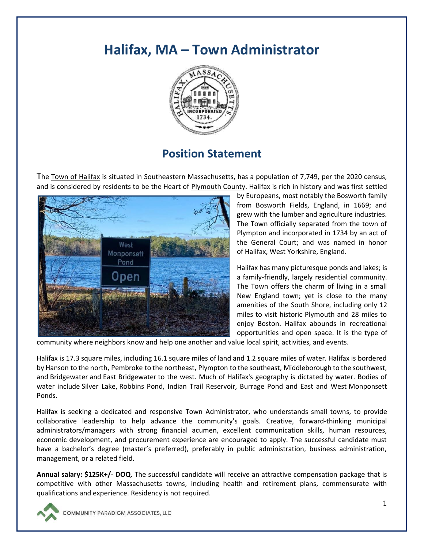# **Halifax, MA – Town Administrator**



## **Position Statement**

The [Town of Halifax](http://www.halifax-ma.org/) is situated in Southeastern Massachusetts, has a population of 7,749, per the 2020 census, and is considered by residents to be the Heart of [Plymouth County.](https://www.plymouthcountyma.gov/) Halifax is rich in history and was first settled



by Europeans, most notably the Bosworth family from Bosworth Fields, England, in 1669; and grew with the lumber and agriculture industries. The Town officially separated from the town of Plympton and incorporated in 1734 by an act of the General Court; and was named in honor of [Halifax, West Yorkshire,](https://en.wikipedia.org/wiki/Halifax,_West_Yorkshire) England.

Halifax has many picturesque ponds and lakes; is a family-friendly, largely residential community. The Town offers the charm of living in a small New England town; yet is close to the many amenities of the South Shore, including only 12 miles to visit historic Plymouth and 28 miles to enjoy Boston. Halifax abounds in recreational opportunities and open space. It is the type of

community where neighbors know and help one another and value local spirit, activities, and events.

Halifax is 17.3 square miles, including 16.1 square miles of land and 1.2 square miles of water. Halifax is bordered by [Hanson](https://en.wikipedia.org/wiki/Hanson,_Massachusetts) to the north, [Pembroke](https://en.wikipedia.org/wiki/Pembroke,_Massachusetts) to the northeast, [Plympton](https://en.wikipedia.org/wiki/Plympton,_Massachusetts) to the southeast, [Middleborough](https://en.wikipedia.org/wiki/Middleborough,_Massachusetts) to the southwest, and [Bridgewater](https://en.wikipedia.org/wiki/Bridgewater,_Massachusetts) and [East Bridgewater](https://en.wikipedia.org/wiki/East_Bridgewater,_Massachusetts) to the west. Much of Halifax's geography is dictated by water. Bodies of water include [Silver Lake,](https://en.wikipedia.org/wiki/Silver_Lake_(Plymouth_County,_Massachusetts)) Robbins Pond, Indian Trail Reservoir, Burrage Pond and East and West Monponsett Ponds.

Halifax is seeking a dedicated and responsive Town Administrator, who understands small towns, to provide collaborative leadership to help advance the community's goals. Creative, forward-thinking municipal administrators/managers with strong financial acumen, excellent communication skills, human resources, economic development, and procurement experience are encouraged to apply. The successful candidate must have a bachelor's degree (master's preferred), preferably in public administration, business administration, management, or a related field.

**Annual salary: \$125K+/- DOQ**. The successful candidate will receive an attractive compensation package that is competitive with other Massachusetts towns, including health and retirement plans, commensurate with qualifications and experience. Residency is not required.

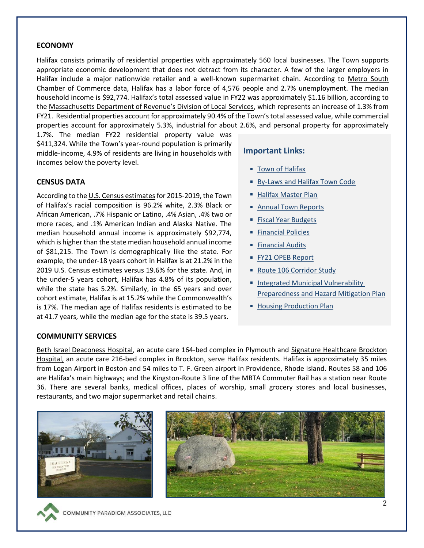#### **ECONOMY**

Halifax consists primarily of residential properties with approximately 560 local businesses. The Town supports appropriate economic development that does not detract from its character. A few of the larger employers in Halifax include a major nationwide retailer and a well-known supermarket chain. According to Metro South [Chamber of Commerce](https://metrosouthchamber.com/) data, Halifax has a labor force of 4,576 people and 2.7% unemployment. The median household income is \$92,774. Halifax's total assessed value in FY22 was approximately \$1.16 billion, according to the [Massachusetts Department of Revenue's Division of Local Services](https://www.mass.gov/orgs/division-of-local-services), which represents an increase of 1.3% from FY21. Residential properties account for approximately 90.4% of the Town's total assessed value, while commercial properties account for approximately 5.3%, industrial for about 2.6%, and personal property for approximately

1.7%. The median FY22 residential property value was \$411,324. While the Town's year-round population is primarily middle-income, 4.9% of residents are living in households with incomes below the poverty level.

#### **CENSUS DATA**

According to th[e U.S. Census estimates](https://www.census.gov/quickfacts/fact/table/halifaxtownplymouthcountymassachusetts/AGE295219) for 2015-2019, the Town of Halifax's racial composition is 96.2% white, 2.3% Black or African American, .7% Hispanic or Latino, .4% Asian, .4% two or more races, and .1% American Indian and Alaska Native. The median household annual income is approximately \$92,774, which is higher than the state median household annual income of \$81,215. The Town is demographically like the state. For example, the under-18 years cohort in Halifax is at 21.2% in the 2019 U.S. Census estimates versus 19.6% for the state. And, in the under-5 years cohort, Halifax has 4.8% of its population, while the state has 5.2%. Similarly, in the 65 years and over cohort estimate, Halifax is at 15.2% while the Commonwealth's is 17%. The median age of Halifax residents is estimated to be at 41.7 years, while the median age for the state is 39.5 years.

#### **Important Links:**

- **[Town of Halifax](https://www.halifax-ma.org/)**
- **[By-Laws and Halifax Town Code](https://www.halifax-ma.org/town-administrator/pages/laws-halifax-town-code)**
- [Halifax Master Plan](https://www.halifax-ma.org/planning-board/pages/master-plan)
- [Annual Town Reports](https://www.halifax-ma.org/town-accountant/pages/annual-town-report)
- **[Fiscal Year Budgets](https://www.halifax-ma.org/town-accountant/pages/fiscal-year-budgets)**
- **[Financial Policies](https://www.halifax-ma.org/sites/g/files/vyhlif4496/f/uploads/financialpolicies.pdf)**
- **[Financial Audits](https://www.halifax-ma.org/town-accountant/pages/financial-audits)**
- [FY21 OPEB Report](https://www.halifax-ma.org/sites/g/files/vyhlif4496/f/uploads/gasb74_75_fy21_report_toh_-_2021-09-13.pdf)
- [Route 106 Corridor Study](https://www.halifax-ma.org/sites/g/files/vyhlif4496/f/uploads/route106studydraft.pdf)
- **Integrated Municipal Vulnerability** [Preparedness and Hazard Mitigation Plan](https://www.halifax-ma.org/sites/g/files/vyhlif4496/f/uploads/halifax_integrated_municipal_vulnerability_preparedness_and_hazard_mitigation_plan_20210630.pdf)
- **[Housing Production Plan](https://www.halifax-ma.org/sites/g/files/vyhlif4496/f/uploads/affordable.housing.plan_.pdf)**

#### **COMMUNITY SERVICES**

[Beth Israel Deaconess Hospital,](http://www.bidplymouth.org/) an acute care 164-bed complex in Plymouth and [Signature Healthcare Brockton](https://www.signature-healthcare.org/locations/brockton-hospital-(1))  [Hospital,](https://www.signature-healthcare.org/locations/brockton-hospital-(1)) an acute care 216-bed complex in Brockton, serve Halifax residents. Halifax is approximately 35 miles from Logan Airport in Boston and 54 miles to T. F. Green airport in Providence, Rhode Island. Routes 58 and 106 are Halifax's main highways; and the Kingston-Route 3 line of the MBTA Commuter Rail has a station near Route 36. There are several banks, medical offices, places of worship, small grocery stores and local businesses, restaurants, and two major supermarket and retail chains.



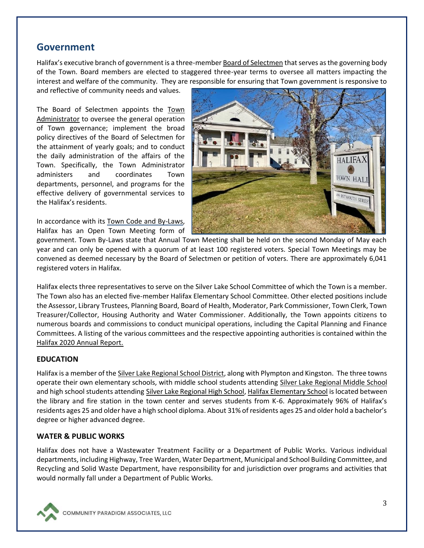### **Government**

Halifax's executive branch of government is a three-membe[r Board of Selectmen](https://www.halifax-ma.org/board-selectmen) that serves as the governing body of the Town. Board members are elected to staggered three-year terms to oversee all matters impacting the interest and welfare of the community. They are responsible for ensuring that Town government is responsive to

and reflective of community needs and values.

The Board of Selectmen appoints the Town [Administrator](https://www.halifax-ma.org/town-administrator) to oversee the general operation of Town governance; implement the broad policy directives of the Board of Selectmen for the attainment of yearly goals; and to conduct the daily administration of the affairs of the Town. Specifically, the Town Administrator administers and coordinates Town departments, personnel, and programs for the effective delivery of governmental services to the Halifax's residents.

In accordance with it[s Town Code and By-Laws,](https://www.halifax-ma.org/town-administrator/pages/laws-halifax-town-code) Halifax has an Open Town Meeting form of



government. Town By-Laws state that Annual Town Meeting shall be held on the second Monday of May each year and can only be opened with a quorum of at least 100 registered voters. Special Town Meetings may be convened as deemed necessary by the Board of Selectmen or petition of voters. There are approximately 6,041 registered voters in Halifax.

Halifax elects three representatives to serve on the Silver Lake School Committee of which the Town is a member. The Town also has an elected five-member Halifax Elementary School Committee. Other elected positions include the Assessor, Library Trustees, Planning Board, Board of Health, Moderator, Park Commissioner, Town Clerk, Town Treasurer/Collector, Housing Authority and Water Commissioner. Additionally, the Town appoints citizens to numerous boards and commissions to conduct municipal operations, including the Capital Planning and Finance Committees. A listing of the various committees and the respective appointing authorities is contained within the [Halifax 2020 Annual Report.](https://www.halifax-ma.org/board-selectmen/pages/annual-town-reports)

#### **EDUCATION**

Halifax is a member of th[e Silver Lake Regional School District,](https://www.slrsd.org/) along with Plympton and Kingston. The three towns operate their own elementary schools, with middle school students attending [Silver Lake Regional Middle School](https://www.slrsd.org/index.php?cID=240) and high school students attending [Silver Lake Regional High School,](https://www.slrsd.org/index.php?cID=233) [Halifax Elementary School](https://hes.slrsd.org/) is located between the library and fire station in the town center and serves students from K-6. Approximately 96% of Halifax's residents ages 25 and older have a high school diploma. About 31% of residents ages 25 and older hold a bachelor's degree or higher advanced degree.

#### **WATER & PUBLIC WORKS**

Halifax does not have a Wastewater Treatment Facility or a Department of Public Works. Various individual departments, including Highway, Tree Warden, Water Department, Municipal and School Building Committee, and Recycling and Solid Waste Department, have responsibility for and jurisdiction over programs and activities that would normally fall under a Department of Public Works.

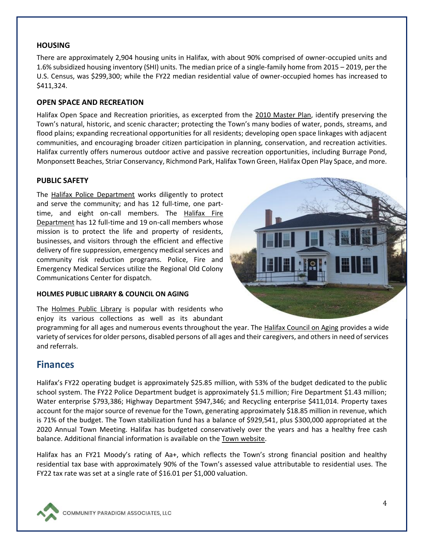#### **HOUSING**

There are approximately 2,904 housing units in Halifax, with about 90% comprised of owner-occupied units and 1.6% subsidized housing inventory (SHI) units. The median price of a single-family home from 2015 – 2019, per the U.S. Census, was \$299,300; while the FY22 median residential value of owner-occupied homes has increased to \$411,324.

#### **OPEN SPACE AND RECREATION**

Halifax Open Space and Recreation priorities, as excerpted from the [2010 Master Plan,](https://www.halifax-ma.org/planning-board/pages/master-plan) identify preserving the Town's natural, historic, and scenic character; protecting the Town's many bodies of water, ponds, streams, and flood plains; expanding recreational opportunities for all residents; developing open space linkages with adjacent communities, and encouraging broader citizen participation in planning, conservation, and recreation activities. Halifax currently offers numerous outdoor active and passive recreation opportunities, including Burrage Pond, Monponsett Beaches, Striar Conservancy, Richmond Park, Halifax Town Green, Halifax Open Play Space, and more.

#### **PUBLIC SAFETY**

The [Halifax Police Department](https://www.halifax-ma.org/police-department) works diligently to protect and serve the community; and has 12 full-time, one parttime, and eight on-call members. The [Halifax Fire](https://www.halifax-ma.org/fire-department)  [Department](https://www.halifax-ma.org/fire-department) has 12 full-time and 19 on-call members whose mission is to protect the life and property of residents, businesses, and visitors through the efficient and effective delivery of fire suppression, emergency medical services and community risk reduction programs. Police, Fire and Emergency Medical Services utilize the Regional Old Colony Communications Center for dispatch.

#### **HOLMES PUBLIC LIBRARY & COUNCIL ON AGING**

The [Holmes Public Library](https://holmespubliclibrary.org/) is popular with residents who enjoy its various collections as well as its abundant



### **Finances**

Halifax's FY22 operating budget is approximately \$25.85 million, with 53% of the budget dedicated to the public school system. The FY22 Police Department budget is approximately \$1.5 million; Fire Department \$1.43 million; Water enterprise \$793,386; Highway Department \$947,346; and Recycling enterprise \$411,014. Property taxes account for the major source of revenue for the Town, generating approximately \$18.85 million in revenue, which is 71% of the budget. The Town stabilization fund has a balance of \$929,541, plus \$300,000 appropriated at the 2020 Annual Town Meeting. Halifax has budgeted conservatively over the years and has a healthy free cash balance. Additional financial information is available on the [Town website.](https://www.halifax-ma.org/town-accountant)

Halifax has an FY21 Moody's rating of Aa+, which reflects the Town's strong financial position and healthy residential tax base with approximately 90% of the Town's assessed value attributable to residential uses. The FY22 tax rate was set at a single rate of \$16.01 per \$1,000 valuation.



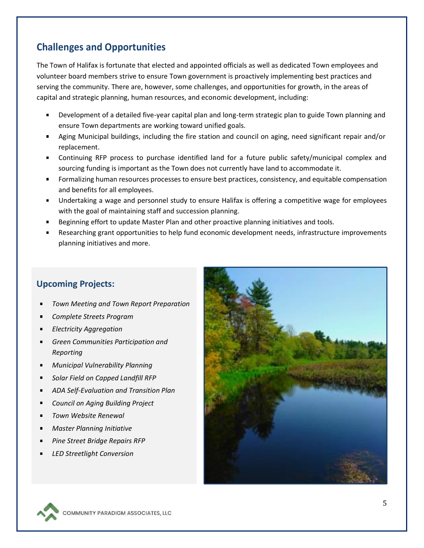## **Challenges and Opportunities**

The Town of Halifax is fortunate that elected and appointed officials as well as dedicated Town employees and volunteer board members strive to ensure Town government is proactively implementing best practices and serving the community. There are, however, some challenges, and opportunities for growth, in the areas of capital and strategic planning, human resources, and economic development, including:

- Development of a detailed five-year capital plan and long-term strategic plan to guide Town planning and ensure Town departments are working toward unified goals.
- Aging Municipal buildings, including the fire station and council on aging, need significant repair and/or replacement.
- Continuing RFP process to purchase identified land for a future public safety/municipal complex and sourcing funding is important as the Town does not currently have land to accommodate it.
- **F** Formalizing human resources processes to ensure best practices, consistency, and equitable compensation and benefits for all employees.
- Undertaking a wage and personnel study to ensure Halifax is offering a competitive wage for employees with the goal of maintaining staff and succession planning.
- Beginning effort to update Master Plan and other proactive planning initiatives and tools.
- Researching grant opportunities to help fund economic development needs, infrastructure improvements planning initiatives and more.

### **Upcoming Projects:**

- *Town Meeting and Town Report Preparation*
- *Complete Streets Program*
- *Electricity Aggregation*
- *Green Communities Participation and Reporting*
- *Municipal Vulnerability Planning*
- *Solar Field on Capped Landfill RFP*
- *ADA Self-Evaluation and Transition Plan*
- *Council on Aging Building Project*
- *Town Website Renewal*
- *Master Planning Initiative*
- *Pine Street Bridge Repairs RFP*
- *LED Streetlight Conversion*